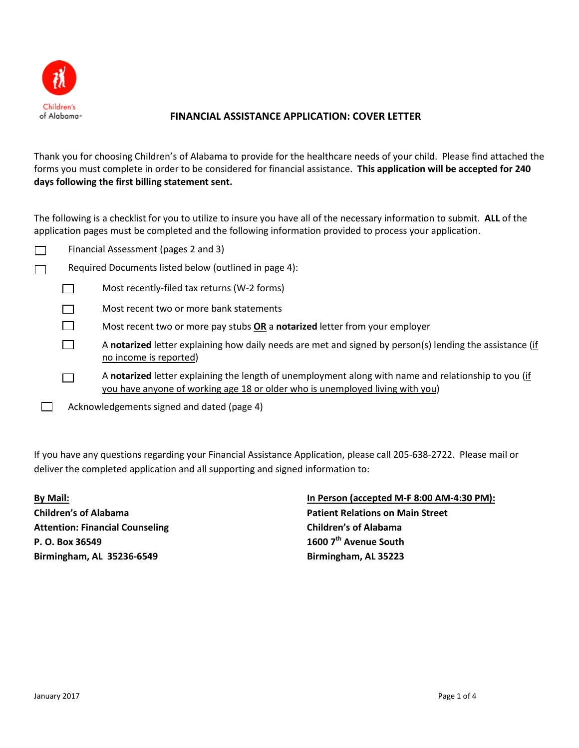

 $\Box$ 

 $\Box$ 

# **FINANCIAL ASSISTANCE APPLICATION: COVER LETTER**

Thank you for choosing Children's of Alabama to provide for the healthcare needs of your child. Please find attached the forms you must complete in order to be considered for financial assistance. **This application will be accepted for 240 days following the first billing statement sent.** 

The following is a checklist for you to utilize to insure you have all of the necessary information to submit. **ALL** of the application pages must be completed and the following information provided to process your application.

- Financial Assessment (pages 2 and 3)  $\Box$
- Required Documents listed below (outlined in page 4):  $\Box$ 
	- Most recently-filed tax returns (W-2 forms)  $\Box$
	- $\Box$ Most recent two or more bank statements
	- $\Box$ Most recent two or more pay stubs **OR** a **notarized** letter from your employer
		- A **notarized** letter explaining how daily needs are met and signed by person(s) lending the assistance (if no income is reported)
			- A **notarized** letter explaining the length of unemployment along with name and relationship to you (if you have anyone of working age 18 or older who is unemployed living with you)
	- $\Box$ Acknowledgements signed and dated (page 4)

If you have any questions regarding your Financial Assistance Application, please call 205-638-2722. Please mail or deliver the completed application and all supporting and signed information to:

**Attention: Financial Counseling Children's of Alabama P. O. Box 36549 1600 7th Avenue South Birmingham, AL 35236-6549 Birmingham, AL 35223**

# **By Mail: In Person (accepted M-F 8:00 AM-4:30 PM): Children's of Alabama Patient Relations on Main Street**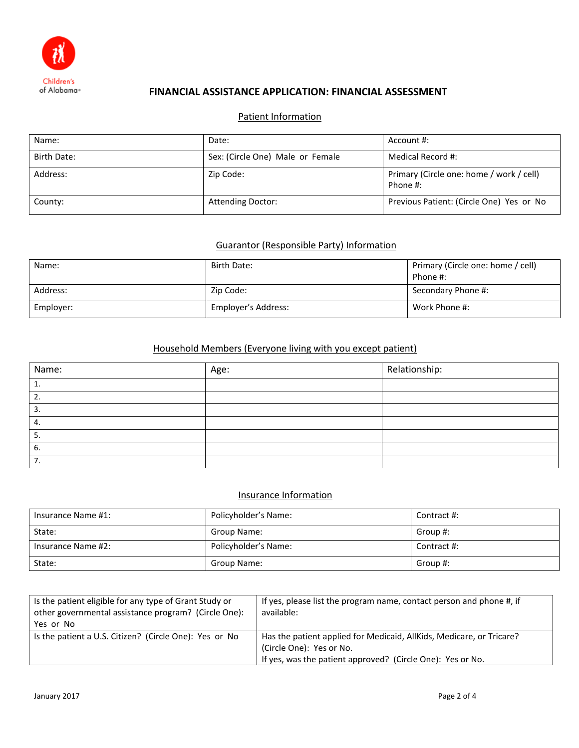

## **FINANCIAL ASSISTANCE APPLICATION: FINANCIAL ASSESSMENT**

# Patient Information

| Name:       | Date:                            | Account #:                                           |
|-------------|----------------------------------|------------------------------------------------------|
| Birth Date: | Sex: (Circle One) Male or Female | Medical Record #:                                    |
| Address:    | Zip Code:                        | Primary (Circle one: home / work / cell)<br>Phone #: |
| County:     | <b>Attending Doctor:</b>         | Previous Patient: (Circle One) Yes or No             |

## Guarantor (Responsible Party) Information

| Name:     | Birth Date:         | Primary (Circle one: home / cell)<br>Phone #: |
|-----------|---------------------|-----------------------------------------------|
| Address:  | Zip Code:           | Secondary Phone #:                            |
| Employer: | Employer's Address: | Work Phone #:                                 |

# Household Members (Everyone living with you except patient)

| Name: | Age: | Relationship: |
|-------|------|---------------|
| ٠.    |      |               |
| ـ ـ   |      |               |
| 3.    |      |               |
| 4.    |      |               |
| э     |      |               |
| 6.    |      |               |
| 7.    |      |               |

## Insurance Information

| Insurance Name #1: | Policyholder's Name: | Contract #: |
|--------------------|----------------------|-------------|
| State:             | Group Name:          | Group #:    |
| Insurance Name #2: | Policyholder's Name: | Contract #: |
| State:             | Group Name:          | Group #:    |

| Is the patient eligible for any type of Grant Study or<br>other governmental assistance program? (Circle One):<br>Yes or No | If yes, please list the program name, contact person and phone #, if<br>available:                                                                             |
|-----------------------------------------------------------------------------------------------------------------------------|----------------------------------------------------------------------------------------------------------------------------------------------------------------|
| Is the patient a U.S. Citizen? (Circle One): Yes or No                                                                      | Has the patient applied for Medicaid, AllKids, Medicare, or Tricare?<br>(Circle One): Yes or No.<br>If yes, was the patient approved? (Circle One): Yes or No. |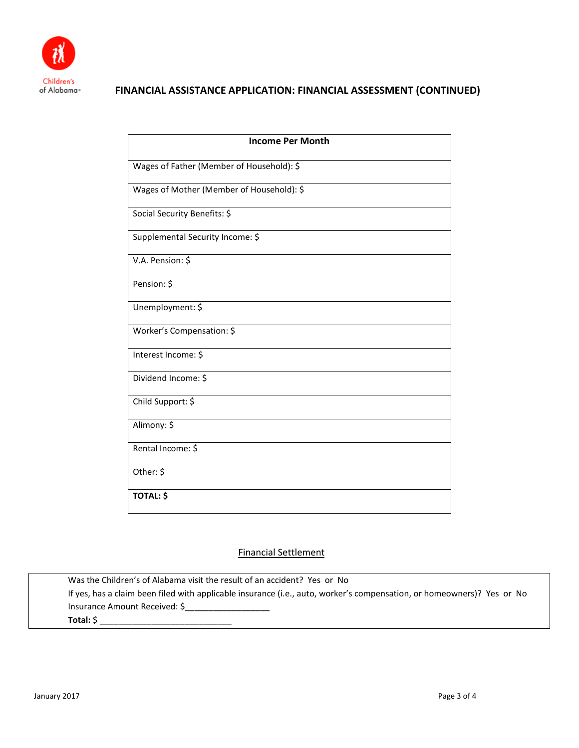

# **FINANCIAL ASSISTANCE APPLICATION: FINANCIAL ASSESSMENT (CONTINUED)**

| <b>Income Per Month</b>                   |
|-------------------------------------------|
| Wages of Father (Member of Household): \$ |
| Wages of Mother (Member of Household): \$ |
| Social Security Benefits: \$              |
| Supplemental Security Income: \$          |
| V.A. Pension: \$                          |
| Pension: \$                               |
| Unemployment: \$                          |
| Worker's Compensation: \$                 |
| Interest Income: \$                       |
| Dividend Income: \$                       |
| Child Support: \$                         |
| Alimony: \$                               |
| Rental Income: \$                         |
| Other: \$                                 |
| <b>TOTAL: \$</b>                          |

## Financial Settlement

Was the Children's of Alabama visit the result of an accident? Yes or No If yes, has a claim been filed with applicable insurance (i.e., auto, worker's compensation, or homeowners)? Yes or No Insurance Amount Received: \$ **Total:** \$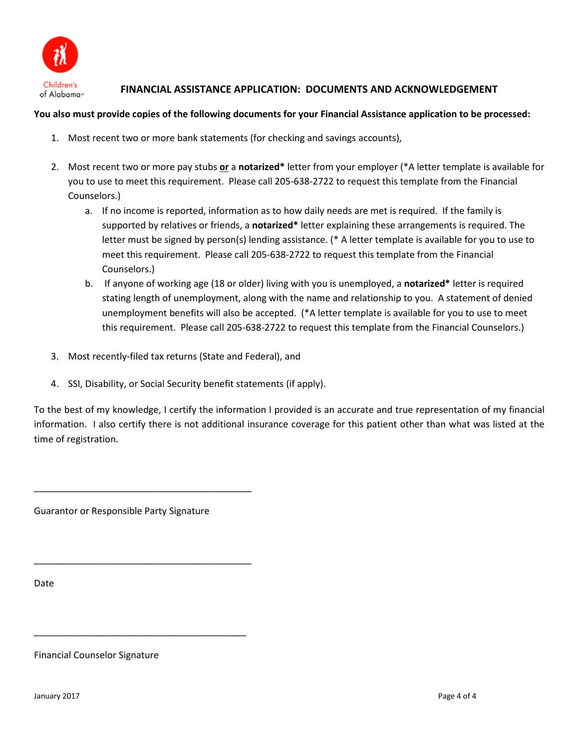

# **FINANCIAL ASSISTANCE APPLICATION: DOCUMENTS AND ACKNOWLEDGEMENT**

## **You also must provide copies of the following documents for your Financial Assistance application to be processed:**

- 1. Most recent two or more bank statements (for checking and savings accounts),
- 2. Most recent two or more pay stubs **or** a **notarized\*** letter from your employer (\*A letter template is available for you to use to meet this requirement. Please call 205-638-2722 to request this template from the Financial Counselors.)
	- a. If no income is reported, information as to how daily needs are met is required. If the family is supported by relatives or friends, a **notarized\*** letter explaining these arrangements is required. The letter must be signed by person(s) lending assistance. (\* A letter template is available for you to use to meet this requirement. Please call 205-638-2722 to request this template from the Financial Counselors.)
	- b. If anyone of working age (18 or older) living with you is unemployed, a **notarized\*** letter is required stating length of unemployment, along with the name and relationship to you. A statement of denied unemployment benefits will also be accepted. (\*A letter template is available for you to use to meet this requirement. Please call 205-638-2722 to request this template from the Financial Counselors.)
- 3. Most recently-filed tax returns (State and Federal), and
- 4. SSI, Disability, or Social Security benefit statements (if apply).

To the best of my knowledge, I certify the information I provided is an accurate and true representation of my financial information. I also certify there is not additional insurance coverage for this patient other than what was listed at the time of registration.

Guarantor or Responsible Party Signature

\_\_\_\_\_\_\_\_\_\_\_\_\_\_\_\_\_\_\_\_\_\_\_\_\_\_\_\_\_\_\_\_\_\_\_\_\_\_\_\_\_\_

\_\_\_\_\_\_\_\_\_\_\_\_\_\_\_\_\_\_\_\_\_\_\_\_\_\_\_\_\_\_\_\_\_\_\_\_\_\_\_\_\_\_

\_\_\_\_\_\_\_\_\_\_\_\_\_\_\_\_\_\_\_\_\_\_\_\_\_\_\_\_\_\_\_\_\_\_\_\_\_\_\_\_\_

Date

Financial Counselor Signature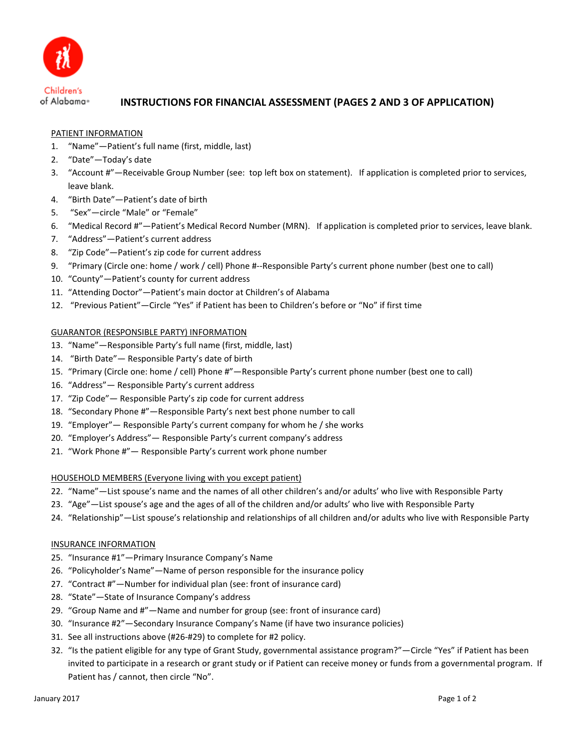

## **INSTRUCTIONS FOR FINANCIAL ASSESSMENT (PAGES 2 AND 3 OF APPLICATION)**

### PATIENT INFORMATION

- 1. "Name"—Patient's full name (first, middle, last)
- 2. "Date"—Today's date
- 3. "Account #"—Receivable Group Number (see: top left box on statement). If application is completed prior to services, leave blank.
- 4. "Birth Date"—Patient's date of birth
- 5. "Sex"—circle "Male" or "Female"
- 6. "Medical Record #"—Patient's Medical Record Number (MRN). If application is completed prior to services, leave blank.
- 7. "Address"—Patient's current address
- 8. "Zip Code"—Patient's zip code for current address
- 9. "Primary (Circle one: home / work / cell) Phone #--Responsible Party's current phone number (best one to call)
- 10. "County"—Patient's county for current address
- 11. "Attending Doctor"—Patient's main doctor at Children's of Alabama
- 12. "Previous Patient"—Circle "Yes" if Patient has been to Children's before or "No" if first time

#### GUARANTOR (RESPONSIBLE PARTY) INFORMATION

- 13. "Name"—Responsible Party's full name (first, middle, last)
- 14. "Birth Date"— Responsible Party's date of birth
- 15. "Primary (Circle one: home / cell) Phone #"—Responsible Party's current phone number (best one to call)
- 16. "Address"— Responsible Party's current address
- 17. "Zip Code"— Responsible Party's zip code for current address
- 18. "Secondary Phone #"—Responsible Party's next best phone number to call
- 19. "Employer"— Responsible Party's current company for whom he / she works
- 20. "Employer's Address"— Responsible Party's current company's address
- 21. "Work Phone #"— Responsible Party's current work phone number

#### HOUSEHOLD MEMBERS (Everyone living with you except patient)

- 22. "Name"—List spouse's name and the names of all other children's and/or adults' who live with Responsible Party
- 23. "Age"—List spouse's age and the ages of all of the children and/or adults' who live with Responsible Party
- 24. "Relationship"—List spouse's relationship and relationships of all children and/or adults who live with Responsible Party

#### INSURANCE INFORMATION

- 25. "Insurance #1"—Primary Insurance Company's Name
- 26. "Policyholder's Name"—Name of person responsible for the insurance policy
- 27. "Contract #"—Number for individual plan (see: front of insurance card)
- 28. "State"—State of Insurance Company's address
- 29. "Group Name and #"—Name and number for group (see: front of insurance card)
- 30. "Insurance #2"—Secondary Insurance Company's Name (if have two insurance policies)
- 31. See all instructions above (#26-#29) to complete for #2 policy.
- 32. "Is the patient eligible for any type of Grant Study, governmental assistance program?"—Circle "Yes" if Patient has been invited to participate in a research or grant study or if Patient can receive money or funds from a governmental program. If Patient has / cannot, then circle "No".